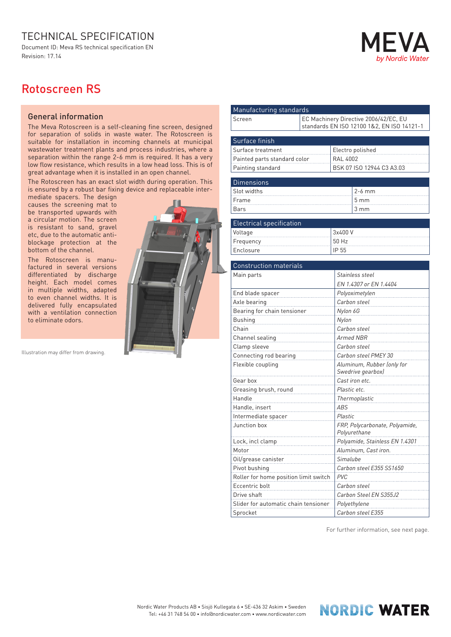## TECHNICAL SPECIFICATION

Document ID: Meva RS technical specification EN Revision: 17.14

## **Nordic Wate**

## Rotoscreen RS

## General information

The Meva Rotoscreen is a self-cleaning fine screen, designed for separation of solids in waste water. The Rotoscreen is suitable for installation in incoming channels at municipal wastewater treatment plants and process industries, where a separation within the range 2-6 mm is required. It has a very low flow resistance, which results in a low head loss. This is of great advantage when it is installed in an open channel.

The Rotoscreen has an exact slot width during operation. This is ensured by a robust bar fixing device and replaceable inter-

mediate spacers. The design causes the screening mat to be transported upwards with a circular motion. The screen is resistant to sand, gravel etc, due to the automatic antiblockage protection at the bottom of the channel.

The Rotoscreen is manufactured in several versions differentiated by discharge height. Each model comes in multiple widths, adapted to even channel widths. It is delivered fully encapsulated with a ventilation connection to eliminate odors.

Illustration may differ from drawing.



| Manufacturing standards               |                                       |                                            |                                                |  |  |
|---------------------------------------|---------------------------------------|--------------------------------------------|------------------------------------------------|--|--|
| Screen                                | EC Machinery Directive 2006/42/EC, EU |                                            |                                                |  |  |
|                                       |                                       | standards EN ISO 12100 1&2, EN ISO 14121-1 |                                                |  |  |
| Surface finish                        |                                       |                                            |                                                |  |  |
| Surface treatment                     |                                       |                                            |                                                |  |  |
| Painted parts standard color          |                                       | Electro polished<br><b>RAL 4002</b>        |                                                |  |  |
|                                       |                                       |                                            | BSK 07 ISO 12944 C3 A3.03                      |  |  |
| Painting standard                     |                                       |                                            |                                                |  |  |
| <b>Dimensions</b>                     |                                       |                                            |                                                |  |  |
| Slot widths                           |                                       |                                            | 2-6 mm                                         |  |  |
| Frame                                 |                                       |                                            | 5 <sub>mm</sub>                                |  |  |
| Bars                                  |                                       |                                            | $3 \, \text{mm}$                               |  |  |
|                                       |                                       |                                            |                                                |  |  |
| <b>Electrical specification</b>       |                                       |                                            |                                                |  |  |
| Voltage                               |                                       | 3x400 V                                    |                                                |  |  |
| Frequency                             |                                       | 50 Hz                                      |                                                |  |  |
| Enclosure                             |                                       | IP 55                                      |                                                |  |  |
| <b>Construction materials</b>         |                                       |                                            |                                                |  |  |
| Main parts                            |                                       |                                            | Stainless steel                                |  |  |
|                                       |                                       | EN 1.4307 or EN 1.4404                     |                                                |  |  |
| End blade spacer                      |                                       |                                            |                                                |  |  |
| Axle bearing                          |                                       | Polyoximetylen<br>Carbon steel             |                                                |  |  |
| Bearing for chain tensioner           |                                       | Nylon 6G                                   |                                                |  |  |
| <b>Bushing</b>                        |                                       | Nylon                                      |                                                |  |  |
| Chain                                 |                                       | Carbon steel                               |                                                |  |  |
|                                       |                                       | Armed NBR                                  |                                                |  |  |
| Channel sealing                       |                                       | Carbon steel                               |                                                |  |  |
| Clamp sleeve                          |                                       | Carbon steel PMEY 30                       |                                                |  |  |
| Connecting rod bearing                |                                       | Aluminum, Rubber (only for                 |                                                |  |  |
| Flexible coupling                     |                                       | Swedrive gearbox)                          |                                                |  |  |
| Gear box                              |                                       | Cast iron etc.                             |                                                |  |  |
| Greasing brush, round                 |                                       | Plastic etc.                               |                                                |  |  |
| Handle                                |                                       | Thermoplastic                              |                                                |  |  |
| Handle, insert                        |                                       | ABS                                        |                                                |  |  |
| Intermediate spacer                   |                                       | Plastic                                    |                                                |  |  |
| Junction box                          |                                       |                                            | FRP, Polycarbonate, Polyamide,<br>Polyurethane |  |  |
| Lock, incl clamp                      |                                       | Polyamide, Stainless EN 1.4301             |                                                |  |  |
| Motor                                 |                                       | Aluminum, Cast iron.                       |                                                |  |  |
| Oil/grease canister                   |                                       | Simalube                                   |                                                |  |  |
| Pivot bushing                         |                                       |                                            | Carbon steel E355 SS1650                       |  |  |
| Roller for home position limit switch |                                       | PVC                                        |                                                |  |  |
| Eccentric bolt                        |                                       | Carbon steel                               |                                                |  |  |
| Drive shaft                           |                                       | Carbon Steel EN S355J2                     |                                                |  |  |
| Slider for automatic chain tensioner  |                                       |                                            | Polyethylene                                   |  |  |
| Sprocket                              |                                       |                                            | Carbon steel E355                              |  |  |
|                                       |                                       |                                            |                                                |  |  |

For further information, see next page.

**NORDIC WATER**